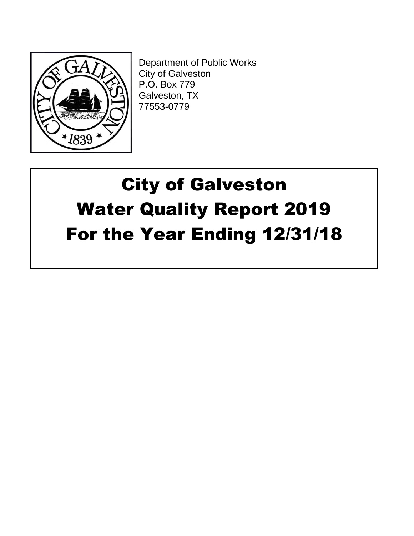

Department of Public Works City of Galveston P.O. Box 779 Galveston, TX 77553-0779

# City of Galveston Water Quality Report 2019 For the Year Ending 12/31/18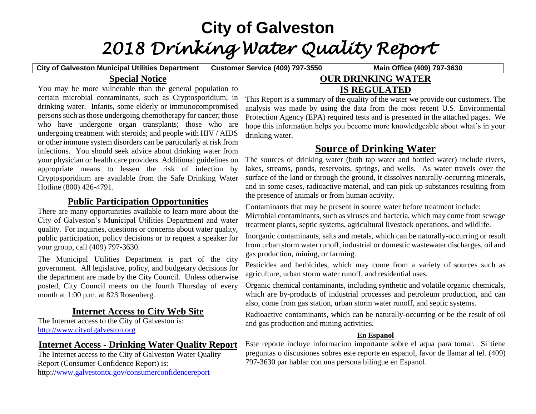## **City of Galveston** *2018 Drinking Water Quality Report*

**City of Galveston Municipal Utilities Department Customer Service (409) 797-3550 Main Office (409) 797-3630**

## **Special Notice**

You may be more vulnerable than the general population to certain microbial contaminants, such as Cryptosporidium, in drinking water. Infants, some elderly or immunocompromised persons such as those undergoing chemotherapy for cancer; those who have undergone organ transplants; those who are undergoing treatment with steroids; and people with HIV / AIDS or other immune system disorders can be particularly at risk from infections. You should seek advice about drinking water from your physician or health care providers. Additional guidelines on appropriate means to lessen the risk of infection by Cryptosporidium are available from the Safe Drinking Water Hotline (800) 426-4791.

## **Public Participation Opportunities**

There are many opportunities available to learn more about the City of Galveston's Municipal Utilities Department and water quality. For inquiries, questions or concerns about water quality, public participation, policy decisions or to request a speaker for your group, call (409) 797-3630.

The Municipal Utilities Department is part of the city government. All legislative, policy, and budgetary decisions for the department are made by the City Council. Unless otherwise posted, City Council meets on the fourth Thursday of every month at 1:00 p.m. at 823 Rosenberg.

## **Internet Access to City Web Site**

The Internet access to the City of Galveston is: [http://www.cityofgalveston.org](http://www.cityofgalveston.org/)

## **Internet Access - Drinking Water Quality Report**

The Internet access to the City of Galveston Water Quality Report (Consumer Confidence Report) is: http:/[/www.galvestontx.gov/consumerconfidencereport](http://www.galvestontx.gov/consumerconfidencereport)

## **OUR DRINKING WATER IS REGULATED**

This Report is a summary of the quality of the water we provide our customers. The analysis was made by using the data from the most recent U.S. Environmental Protection Agency (EPA) required tests and is presented in the attached pages. We hope this information helps you become more knowledgeable about what's in your drinking water.

## **Source of Drinking Water**

The sources of drinking water (both tap water and bottled water) include rivers, lakes, streams, ponds, reservoirs, springs, and wells. As water travels over the surface of the land or through the ground, it dissolves naturally-occurring minerals, and in some cases, radioactive material, and can pick up substances resulting from the presence of animals or from human activity.

Contaminants that may be present in source water before treatment include: Microbial contaminants, such as viruses and bacteria, which may come from sewage treatment plants, septic systems, agricultural livestock operations, and wildlife.

Inorganic contaminants, salts and metals, which can be naturally-occurring or result from urban storm water runoff, industrial or domestic wastewater discharges, oil and gas production, mining, or farming.

Pesticides and herbicides, which may come from a variety of sources such as agriculture, urban storm water runoff, and residential uses.

Organic chemical contaminants, including synthetic and volatile organic chemicals, which are by-products of industrial processes and petroleum production, and can also, come from gas station, urban storm water runoff, and septic systems.

Radioactive contaminants, which can be naturally-occurring or be the result of oil and gas production and mining activities.

#### **En Espanol**

Este reporte incluye informacion importante sobre el aqua para tomar. Si tiene preguntas o discusiones sobres este reporte en espanol, favor de llamar al tel. (409) 797-3630 par hablar con una persona bilingue en Espanol.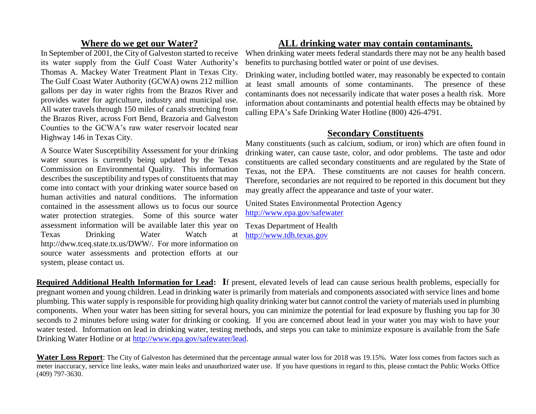## **Where do we get our Water?**

In September of 2001, the City of Galveston started to receive its water supply from the Gulf Coast Water Authority's Thomas A. Mackey Water Treatment Plant in Texas City. The Gulf Coast Water Authority (GCWA) owns 212 million gallons per day in water rights from the Brazos River and provides water for agriculture, industry and municipal use. All water travels through 150 miles of canals stretching from the Brazos River, across Fort Bend, Brazoria and Galveston Counties to the GCWA's raw water reservoir located near Highway 146 in Texas City.

A Source Water Susceptibility Assessment for your drinking water sources is currently being updated by the Texas Commission on Environmental Quality. This information describes the susceptibility and types of constituents that may come into contact with your drinking water source based on human activities and natural conditions. The information contained in the assessment allows us to focus our source water protection strategies. Some of this source water assessment information will be available later this year on Texas Drinking Water Watch at http://dww.tceq.state.tx.us/DWW/. For more information on source water assessments and protection efforts at our system, please contact us.

## **ALL drinking water may contain contaminants.**

When drinking water meets federal standards there may not be any health based benefits to purchasing bottled water or point of use devises.

Drinking water, including bottled water, may reasonably be expected to contain at least small amounts of some contaminants. The presence of these contaminants does not necessarily indicate that water poses a health risk. More information about contaminants and potential health effects may be obtained by calling EPA's Safe Drinking Water Hotline (800) 426-4791.

### **Secondary Constituents**

Many constituents (such as calcium, sodium, or iron) which are often found in drinking water, can cause taste, color, and odor problems. The taste and odor constituents are called secondary constituents and are regulated by the State of Texas, not the EPA. These constituents are not causes for health concern. Therefore, secondaries are not required to be reported in this document but they may greatly affect the appearance and taste of your water.

United States Environmental Protection Agency <http://www.epa.gov/safewater>

Texas Department of Health [http://www.tdh.texas.gov](http://www.tdh.texas.gov/)

**Required Additional Health Information for Lead: I**f present, elevated levels of lead can cause serious health problems, especially for pregnant women and young children. Lead in drinking water is primarily from materials and components associated with service lines and home plumbing. This water supply is responsible for providing high quality drinking water but cannot control the variety of materials used in plumbing components. When your water has been sitting for several hours, you can minimize the potential for lead exposure by flushing you tap for 30 seconds to 2 minutes before using water for drinking or cooking. If you are concerned about lead in your water you may wish to have your water tested. Information on lead in drinking water, testing methods, and steps you can take to minimize exposure is available from the Safe Drinking Water Hotline or at [http://www.epa.gov/safewater/lead.](http://www.epa.gov/safewater/lead)

**Water Loss Report**: The City of Galveston has determined that the percentage annual water loss for 2018 was 19.15%. Water loss comes from factors such as meter inaccuracy, service line leaks, water main leaks and unauthorized water use. If you have questions in regard to this, please contact the Public Works Office (409) 797-3630.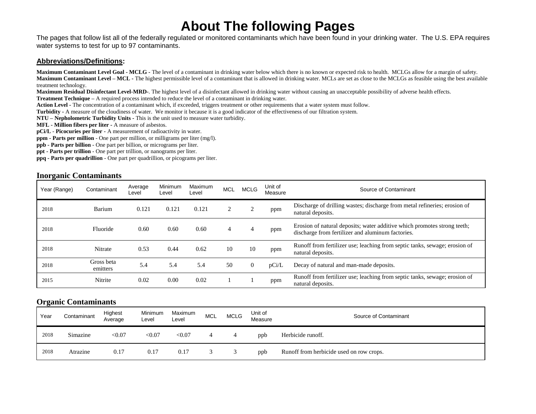## **About The following Pages**

The pages that follow list all of the federally regulated or monitored contaminants which have been found in your drinking water. The U.S. EPA requires water systems to test for up to 97 contaminants.

#### **Abbreviations/Definitions:**

**Maximum Contaminant Level Goal - MCLG -** The level of a contaminant in drinking water below which there is no known or expected risk to health. MCLGs allow for a margin of safety. **Maximum Contaminant Level – MCL -** The highest permissible level of a contaminant that is allowed in drinking water. MCLs are set as close to the MCLGs as feasible using the best available treatment technology.

**Maximum Residual Disinfectant Level-MRD-**. The highest level of a disinfectant allowed in drinking water without causing an unacceptable possibility of adverse health effects.

**Treatment Technique –** A required process intended to reduce the level of a contaminant in drinking water.

**Action Level -** The concentration of a contaminant which, if exceeded, triggers treatment or other requirements that a water system must follow.

**Turbidity -** A measure of the cloudiness of water. We monitor it because it is a good indicator of the effectiveness of our filtration system.

**NTU – Nepholometric Turbidity Units -** This is the unit used to measure water turbidity.

**MFL - Million fibers per liter -** A measure of asbestos.

**pCi/L** - **Picocuries per liter -** A measurement of radioactivity in water.

**ppm - Parts per million** - One part per million, or milligrams per liter (mg/l).

**ppb - Parts per billion** - One part per billion, or micrograms per liter.

**ppt - Parts per trillion** - One part per trillion, or nanograms per liter.

**ppq - Parts per quadrillion** - One part per quadrillion, or picograms per liter.

#### **Inorganic Contaminants**

| Year (Range) | Contaminant            | Average<br>Level | Minimum<br>Level | Maximum<br>Level | <b>MCL</b> | <b>MCLG</b>    | Unit of<br>Measure | Source of Contaminant                                                                                                         |
|--------------|------------------------|------------------|------------------|------------------|------------|----------------|--------------------|-------------------------------------------------------------------------------------------------------------------------------|
| 2018         | Barium                 | 0.121            | 0.121            | 0.121            |            |                | ppm                | Discharge of drilling wastes; discharge from metal refineries; erosion of<br>natural deposits.                                |
| 2018         | Fluoride               | 0.60             | 0.60             | 0.60             | 4          |                | ppm                | Erosion of natural deposits; water additive which promotes strong teeth;<br>discharge from fertilizer and aluminum factories. |
| 2018         | Nitrate                | 0.53             | 0.44             | 0.62             | 10         | 10             | ppm                | Runoff from fertilizer use; leaching from septic tanks, sewage; erosion of<br>natural deposits.                               |
| 2018         | Gross beta<br>emitters | 5.4              | 5.4              | 5.4              | 50         | $\overline{0}$ | pCi/L              | Decay of natural and man-made deposits.                                                                                       |
| 2015         | Nitrite                | 0.02             | 0.00             | 0.02             |            |                | ppm                | Runoff from fertilizer use; leaching from septic tanks, sewage; erosion of<br>natural deposits.                               |

#### **Organic Contaminants**

| Year | Contaminant | Highest<br>Average | Minimum<br>Level | Maximum<br>Level | <b>MCL</b> | <b>MCLG</b> | Unit of<br>Measure | Source of Contaminant                    |
|------|-------------|--------------------|------------------|------------------|------------|-------------|--------------------|------------------------------------------|
| 2018 | Simazine    | $<$ 0.07           | < 0.07           | < 0.07           | 4          |             | ppb                | Herbicide runoff.                        |
| 2018 | Atrazine    | 0.17               | 0.17             | 0.17             |            |             | ppb                | Runoff from herbicide used on row crops. |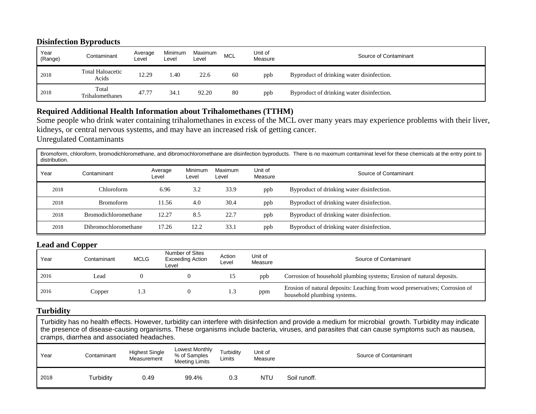#### **Disinfection Byproducts**

| Year<br>(Range) | Contaminant                      | Average<br>Level | Minimum<br>Level | Maximum<br>Level | <b>MCL</b> | Jnit of<br>Measure | Source of Contaminant                     |
|-----------------|----------------------------------|------------------|------------------|------------------|------------|--------------------|-------------------------------------------|
| 2018            | <b>Total Haloacetic</b><br>Acids | 12.29            | 1.40             | 22.6             | 60         | ppb                | Byproduct of drinking water disinfection. |
| 2018            | Total<br>Trihalomethanes         | 47.77            | 34.1             | 92.20            | 80         | ppb                | Byproduct of drinking water disinfection. |

#### **Required Additional Health Information about Trihalomethanes (TTHM)**

Some people who drink water containing trihalomethanes in excess of the MCL over many years may experience problems with their liver, kidneys, or central nervous systems, and may have an increased risk of getting cancer.

Unregulated Contaminants

Bromoform, chloroform, bromodichloromethane, and dibromochloromethane are disinfection byproducts. There is no maximum contaminat level for these chemicals at the entry point to distribution.

| Year | Contaminant                 | Average<br>Level | Minimum<br>∟evel | Maximum<br>Level | Unit of<br>Measure | Source of Contaminant                     |
|------|-----------------------------|------------------|------------------|------------------|--------------------|-------------------------------------------|
| 2018 | Chloroform-                 | 6.96             | 3.2              | 33.9             | ppb                | Byproduct of drinking water disinfection. |
| 2018 | <b>Bromoform</b>            | 11.56            | 4.0              | 30.4             | ppb                | Byproduct of drinking water disinfection. |
| 2018 | <b>Bromodichloromethane</b> | 12.27            | 8.5              | 22.7             | ppb                | Byproduct of drinking water disinfection. |
| 2018 | Dibromochloromethane        | 17.26            | 12.2             | 33.1             | ppb                | Byproduct of drinking water disinfection. |

#### **Lead and Copper**

| Year | Contaminant | <b>MCLG</b> | Number of Sites<br><b>Exceeding Action</b><br>Level | Action<br>∟evel | Unit of<br>Measure | Source of Contaminant                                                                                      |
|------|-------------|-------------|-----------------------------------------------------|-----------------|--------------------|------------------------------------------------------------------------------------------------------------|
| 2016 | Lead        |             |                                                     |                 | ppb                | Corrosion of household plumbing systems; Erosion of natural deposits.                                      |
| 2016 | Copper      |             |                                                     | سيد             | ppm                | Erosion of natural deposits: Leaching from wood preservatives; Corrosion of<br>household plumbing systems. |

#### **Turbidity**

Turbidity has no health effects. However, turbidity can interfere with disinfection and provide a medium for microbial growth. Turbidity may indicate the presence of disease-causing organisms. These organisms include bacteria, viruses, and parasites that can cause symptoms such as nausea, cramps, diarrhea and associated headaches.

| Year | Contaminant | <b>Highest Single</b><br>Measurement | Lowest Monthly<br>% of Samples<br><b>Meeting Limits</b> | Turbidity<br>Limits | Unit of<br>Measure |              | Source of Contaminant |
|------|-------------|--------------------------------------|---------------------------------------------------------|---------------------|--------------------|--------------|-----------------------|
| 2018 | Turbidity   | 0.49                                 | 99.4%                                                   | 0.3                 | <b>NTU</b>         | Soil runoff. |                       |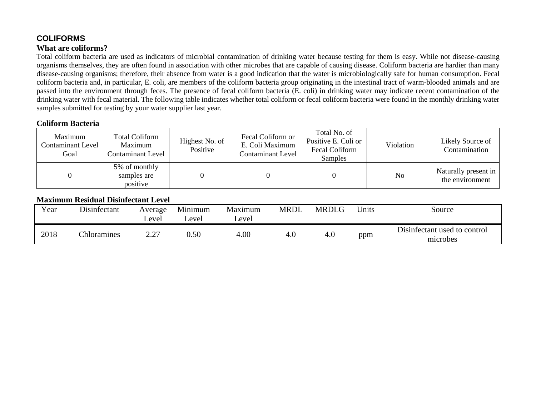## **COLIFORMS What are coliforms?**

Total coliform bacteria are used as indicators of microbial contamination of drinking water because testing for them is easy. While not disease-causing organisms themselves, they are often found in association with other microbes that are capable of causing disease. Coliform bacteria are hardier than many disease-causing organisms; therefore, their absence from water is a good indication that the water is microbiologically safe for human consumption. Fecal coliform bacteria and, in particular, E. coli, are members of the coliform bacteria group originating in the intestinal tract of warm-blooded animals and are passed into the environment through feces. The presence of fecal coliform bacteria (E. coli) in drinking water may indicate recent contamination of the drinking water with fecal material. The following table indicates whether total coliform or fecal coliform bacteria were found in the monthly drinking water samples submitted for testing by your water supplier last year.

#### **Coliform Bacteria**

| Maximum<br>Contaminant Level<br>Goal | <b>Total Coliform</b><br>Maximum<br>Contaminant Level | Highest No. of<br>Positive | Fecal Coliform or<br>E. Coli Maximum<br><b>Contaminant Level</b> | Total No. of<br>Positive E. Coli or<br>Fecal Coliform<br>Samples | Violation | Likely Source of<br>Contamination       |
|--------------------------------------|-------------------------------------------------------|----------------------------|------------------------------------------------------------------|------------------------------------------------------------------|-----------|-----------------------------------------|
|                                      | 5% of monthly<br>samples are<br>positive              |                            |                                                                  |                                                                  | No        | Naturally present in<br>the environment |

#### **Maximum Residual Disinfectant Level**

| Year | Disinfectant | Average<br>∟evel   | Minimum<br>evel_ | Maximum<br>evel_ | MRDL | <b>MRDLG</b> | <b>J</b> nits | Source                                   |
|------|--------------|--------------------|------------------|------------------|------|--------------|---------------|------------------------------------------|
| 2018 | Chloramines  | דר ר<br><u>_. </u> | 0.50             | 4.00             | 4.0  | 4.0          | ppm           | Disinfectant used to control<br>microbes |